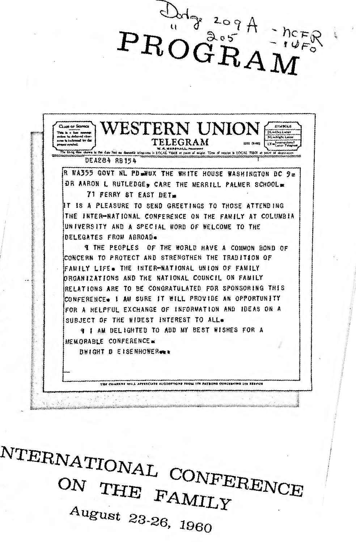

NTERNATIONAL CONFERENCE ON THE FAMILY

August 23-26, 1960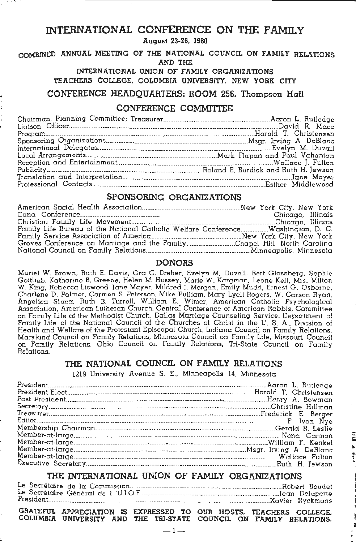# INTERNATIONAL CONFERENCE ON THE FAMILY

August 23-26, 1960

#### COMBINED ANNUAL MEETING OF THE NATIONAL COUNCIL ON FAMILY RELATIONS AND THE

INTERNATIONAL UNION OF FAMILY ORGANIZATIONS

TEACHERS COllEGE. COLUMBIA UNIVERSITY. NEW YORK CITY

### CONFERENCE HEADQUARTERS: ROOM 256. Thompson Hall

# CONFERENCE COMMITTEE

## SPONSORING ORGANIZATIONS

| Family Life Bureau of the National Catholic Welfare ConferenceWashington, D. C. |  |
|---------------------------------------------------------------------------------|--|
|                                                                                 |  |
| Groves Conference on Marriage and the FamilyChapel Hill, North Carolina         |  |
|                                                                                 |  |

### DONORS

Muriel W. Brown, Ruth E. Davis, Ora C. Dreher, Evelyn M. Duvall, Bert Glassberg, Sophie Gottlieb, Katharine B. Greene, Helen M. Hussey, Marie W. Kargman, Leone Kell, Mrs. Milton W. King, Rebecca Liswood, Jane Mayer, Mildred I. Morgan, Emily Mudd, Ernest G. Osborne, Charlene D. Palmer, Carmen S. Peterson, Mike Pulliam, Mary Lyell Rogers. W. Carson Ryan. Angelica Siaca, Ruth B. Turrell, William E. Wimer, American Catholic Psychological Association, American Lutheran Church, Central Conference of American Rabbis, Committee on Family Life of the Methodist Church, Dallas Marriage Counseling Service. Department of Family Life of the National Council of the Churches of Christ in the U. S. A., Division of Health and Welfare of the Protestant Episcopal Church, Indiana Council on Family Relations, Maryland Council on Family Relations, Minnesota Council on Family Life, Missouri Council on Family Relations, Ohio Council on Family Relations, Tri-State Council on Family Relations.

## THE NATIONAL COUNCIL ON FAMILY RELATIONS

1219 University Avenue S. E., Minneapolis 14, Minnesota

~ i I

## THE INTERNATIONAL UNION OF FAMILY ORGANIZATIONS

GRATEFUL APPRECIATION IS EXPRESSED TO OUR HOSTS. TEACHERS COLLEGE. COLUMBIA UNIVERSITY AND THE TRI-STATE COUNCIL ON FAMILY RELATIONS.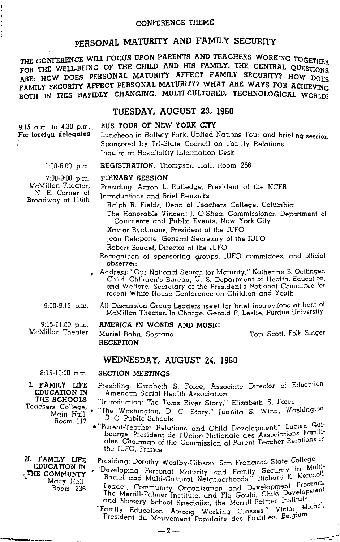### CONFERENCE THEME

# PERSONAL MATURITY AND FAMILY SECURITY

THE CONFERENCE WILL FOCUS UPON PARENTS AND TEACHERS WORKING TOGETHER FOR THE WELL-BEING OF THE CHILD AND HIS FAMILY. THE CENTRAL QUESTIONS ARE: HOW DOES PERSONAL MATURITY AFFECT FAMILY SECURITY? HOW DOES FAMILY SECURITY AFFECT PERSONAL MATURITY? WHAT ARE WAYS FOR ACHIEVING BOTH IN THIS RAPIDLY CHANGING, MULTI-CULTURED, TECHNOLOGICAL WORLD?

## TUESDAY, AUGUST 23, 1960

### BUS TOUR OF NEW YORK CITY

9:15 a.m. to 4:30 p.m. For foreign delegates

Luncheon in Battery Park. United Nations Tour and briefing session Sponsored by Tri-State Council on Family Relations Inquire at Hospitality Information Desk

1:00-6:00 p.m.

# REGISTRATION. Thompson Hall, Room 256

### PLENARY SESSION

7:00-9:00 p.m. McMillan Theater, N. E. Corner of Broadway at 116th

Presiding: Aaron L. Rutledge, President of the NCFR

Introductions and Brief Remarks

Ralph R. Fields, Dean of Teachers College, Columbia

The Honorable Vincent J. O'Shea, Commissioner. Department of Commerce and Public Events, New York City

Xavier Ryckmans, President of the IUFO

Jean Delaporte, General Secretary of the IUFO

Robert Boudet, Director of the IUFO

- Recognition of sponsoring groups, IUFO committees, and official observers
- p Address: "Our National Search for Maturity," Katherine B. Oettinger, and Welfare; Secretary of the President's National Committee for recent White House Conference on Children and Youth
- 9:00-9:15 p.m. All Discussion Group Leaders meet for brief instructions at front of McMillan Theater. In Charge, Gerald R. Leslie, Purdue University.

 $9:15-11:00$  p.m. McMillan Theater

AMERfCA IN WORDS AND MUSIC Muriel Rahn, Soprano **RECEPTION** 

Tom Scott, Folk Singer

### WEDNESDAY, AUGUST 24, 1960

8:15-10:00 a.m. SECTION MEETINGS

L FAMILY LIFE EDUCATION IN THE SCHOOLS Teachers College, Main Hall. Room 117

II- FAMILY LIFE EDUCATION IN I THE COMMUNTY <sup>~</sup>Macy Hall. Room 236

,. !!" 4 <sup>1</sup>S:U8b~--·---

Presiding. Elizabeth S. Force, Associate Director of Education.

American Social Health Association

"Introduction: The Toms River Story," Elizabeth S. Force

- "The Washington, D. C. Story," Juanita S. Winn. Washington.
- D. C. Public Schools<br>• "Parent-Teacher Relations and Child Development," Lucien Guibourge, President de l'Union Nationale des Associations Familiales, Chairman of the Commission of Parent-Teacher Relations *m*  the IUFO. France

Presiding: Dorothy Westby-Gibson, San Francisco State College<br>Developing Personal Maturity and Family Security in Multi-Racial and Multi-Cultural Neighborhoods," Richard K. K. the call the while-cultural Neighborhoods, include the Program.<br>Leader, Community Organization and Development Program. The Merrill-Palmer Institute, and Flo Gould, Child Development

and Nursery School Specialist, the Merrill-Palmer Institute.<br>"Family Education Among Working Classes." Victor Michel. President du Mouvement Populaire des Familles. Belgium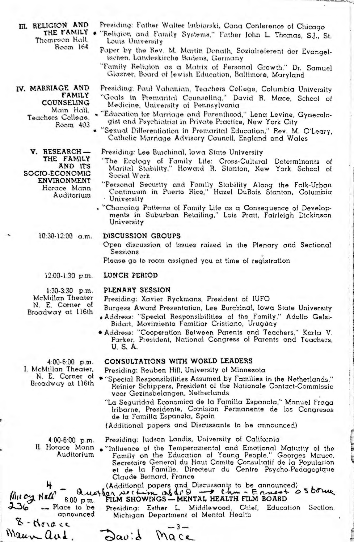III. RELIGION AND THE FAMILY . Thompson Hall. Room 164

IV. MARRIAGE AND **FAMILY** COUNSELING Main Hall. Teachers College. Room 403

> V. RESEARCH-THE FAMILY AND ITS SOCIO-ECONOMIC **ENVIRONMENT** Horace Mann Auditorium

- Presiding: Father Walter Imbiorski, Cana Conference of Chicago
- "Religion and Family Systems," Father John L. Thomas, S.J., St. Louis University
	- Faper by the Rev. M. Martin Donath, Sozialreferent der Evangelischen, Landeskirche Badens, Germany
	- "Family Religion as a Matrix of Personal Growth," Dr. Samuel Glasner, Board of Jewish Education, Baltimore, Maryland
	- Presiding: Paul Vahanian, Teachers College, Columbia University "Goals in Premarital Counseling." David R. Mace, School of Medicine, University of Pennaylvania
	- "Education for Marriage and Parenthood," Lena Levine, Gynecologist and Psychiatrist in Private Practice, New York City
	- "Sexual Differentiation in Premarital Education," Rev. M. O'Leary, Catholic Marriage Advisory Council, England and Wales
	- Presiding: Lee Burchinal, Iowa State University
	- "The Ecology of Family Life: Cross-Cultural Determinants of Marital Stability," Howard R. Stanton, New York School of Social Work
	- "Personal Security and Family Stability Along the Folk-Urban<br>Continuum in Puerto Rico," Hazel DuBois Stanton, Columbia University
- . "Changing Patterns of Family Life as a Consequence of Developments in Suburban Retailing," Lois Pratt, Fairleigh Dickinson University

10:30-12:00 a.m.

#### DISCUSSION GROUPS

Open discussion of issues raised in the Plenary and Sectional Sessions

Please go to room assigned you at time of registration

LUNCH PERIOD  $12:00-1:30$  p.m.

 $1:30-3:30$  p.m. McMillan Theater N. E. Corner of Broadway at 116th

#### 4:00-6:00 p.m. I. McMillan Theater. N. E. Corner of Broadway at 116th

PLENARY SESSION

Presiding: Xavier Ryckmans, President of IUFO

- Burgess Award Presentation, Lee Burchinal, Iowa State University . Address: "Special Responsibilities of the Family," Adolfo Gelsi-
	- Bidart, Movimiento Familiar Cristiano, Uruguay
- Address: "Cooperation Between Parents and Teachers," Karla V.<br>Parker, President, National Congress of Parents and Teachers, U.S.A.

### CONSULTATIONS WITH WORLD LEADERS

- Presiding: Reuben Hill, University of Minnesota
- \* "Special Responsibilities Assumed by Families in the Netherlands," Reinier Schippers, President of the Nationale Contact-Commissie voor Gezinsbelangen, Netherlands
	- "La Seguridad Economica de la Familia Espanola," Manuel Fraga Iribarne, Presidente, Comision Permanente de los Congresos de la Familia Espanola, Spain
	- (Additional papers and Discussants to be announced)

 $4:00-6:00$  p.m. II. Horace Mann Auditorium

Presiding: Judson Landis, University of California

• "Influence of the Temperamental and Emotional Maturity of the Family on the Education of Young People," Georges Mauco, Secretaire General du Haut Comite Consultatif de la Population et de la Famille, Directeur du Centre Claude Bernard, France

auother st (Additional papers and Discussants to be announced)<br>Quother st (time as  $dCD \rightarrow Chm - E$  and  $D5$  borne

# FILM SHOWINGS - MENTAL HEALTH FILM BOARD

the cy Nell 8.00 p.m.  $236$ -- Place to be announced

4

 $8 - 6$ Maun aud

Presiding: Esther L. Middlewood, Chief, Education Section, Michigan Department of Mental Health

 $-3$  $a_0:$  $MQce$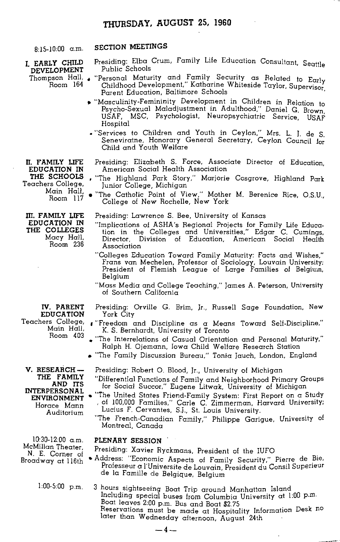## **THURSDAY, AUGUST 25, 1960**

**I. EARLY CHILD DEVELOPMENT**  Thompson Hall. • Room 164

8:15-10:00 a.m. **SECTION MEETINGS** 

- Presiding: Elba Crum, Family Life Education Consultant, Seattle Public Schools
- "Personal Maturity and Family Security as Related to Early Childhood Development, Kathanne Whiteside Taylor, Supervisor Parent Education, Baltimore Schools ·
- "Masculinity-Femininity Development in Children in Relation to Psycho-Sexual Maladjustment in Adulthood," Daniel G. Brown USAF, MSC, Psychologist, Neuropsychiatric Service, USAF Hospital
- "Services to Children and Youth in Ceylon," Mrs. L. J. de s. Seneviratne, Honorary General Secretary, Ceylon Council for Child and Youth Welfare
- Presiding: Elizabeth S. Force, Associate Director of Education, American Social Health Association
	- "The Highland Park Story," Marjorie Cosgrove, Highland Park Junior College, Michigan
- "The Catholic Point of View," Mother M. Berenice Rice, O.S.U., College of New Rochelle, New York

Presiding: Lawrence S. Bee, University of Kansas

- "Implications of ASHA's Regional Projects for Family Life Education in the Colleges and Universities," Edgar C. Cumings, Director, Division of Education, American Social Health Association
- "Colleges Education Toward Family Maturity: Facts and Wishes," Frans van Mechelen, Professor of Sociology, Louvain University; President of Flemish League of Large Families of Belgium, Belgium
- "Mass Media and College Teaching," James A. Peterson, University of Southern California
- Presiding: Orville G. Brim, Jr., Russell Sage Foundation, New York City
- ,. "Freedom and Discipline as a Means Toward Self-Discipline," K. S. Bernhardt, University of Toronto
- "The Interrelations of Casual Orientation and Personal Maturity," Ralph H. Ojemann, Iowa Child Welfare Research Station
- "The Family Discussion Bureau," Tonia Jauch, London, England
	- Presiding: Robert 0. Blood, Jr., University of Michigan
	- "Differential Functions of Family and Neighborhood Primary Groups for Social Succor," Eugene Litwak, University of Michigan
- "The United States Friend-Family System: First Report on a Study , of 100,000 Families," Carle C. Zimmerman. Harvard University; Lucius F. Cervantes, S.J., St. Louis University.
	- "The French-Canadian Family," Philippe Garigue, University of Montreal, Canada

### **PLENARY SESSION** .

Presiding: Xavier Ryckmans, President of the IUFO

- Address: "Economic Aspects of Family Security," Pierre de \_Bie, Professeur a l'Universite de Louvain, President du Consil Superieur de Ia Famille de Belgique, Belgium
- 3 hours sightseeing Boat Trip around Manhattan Island Including special buses from Columbia University at 1:00 p.m. Boat leaves 2:00 p.m. Bus and Boat \$2.75 Reservations must be made at Hospitality Information Desk no later than Wednesday afternoon, August 24th

**n. FAMILY LIFE EDUCATION** IN **THE SCHOOLS**  Teachers College, Main Hall, Room 117

**m. FAMILY LIFE EDUCATION** IN **THE COLLEGES**  Macy Hall. Room 236

**IV. PARENT EDUCATrON**  Teachers College, Main Hall, Room 403

**V. RESEARCH-THE FAMILY AND ITS INTERPERSONAL ENVffiONMENT**  Horace Mann Auditorium

10:30-12:00 a .m. McMillan Theater, N. E. Corner of Broadway at 1 16th

 $1:00-5:00$  p.m.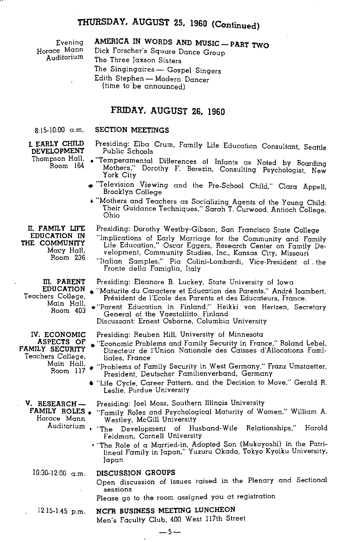# **THURSDAY. AUGUST 25, 1960 (Continued)**

Evening Horace Mann Auditorium

# **AMERICA IN WORDS AND MUSIC- PART TWO**

Dick Forscher's Square Dance Group The Three Jaxson Sisters The Singingaires - Gospel Singers Edith Stephen- Modern Dancer (time to be announced)

### **FRIDAY. AUGUST 26. 1960**

#### 8:15-10:00 a.m.

# **SECTION MEETINGS**

**I. EARLY CHILD DEVELOPMENT**  Thompson Hall, Room 164

- Presiding: Elba Crum, Family Life Education Consultant, Seattle Public Schools
- "Temperamental Differences of Infants as Noted by Boarding Mothers," Dorothy F. Berezin, Consulting Psychologist, New York City
- "Television Viewing and the Pre-School Child," Clara Appell, Brooklyn College
- "Mothers and Teachers as Socializing Agents of the Young Child: Their Guidance Techniques," Sarah T. Curwood. Antioch College, Ohio
	- Presiding: Dorothy Westby-Gibson, San Francisco State College

"Implications of Early Marriage for the Community and Family Life Education," Oscar Eggers, Research Center on Family Development, Community Studies, Inc., Kansas City, Missouri

"Italian Samples," Pia Colini-Lombardi, Vice-President of . the Fronte della Famiglia, Italy

Presiding: Eleanore B. Luckey, State University of Iowa

- "Maturite du Caractere et Education des Parents," Andre Isambert. Président de l'Ecole des Parents et des Educateurs, France.
- "Parent Education in Finland," Heikki von Hertzen, Secretary General of the Vaestoliitto, Finland

Discussant: Ernest Osborne, Columbia University

Presiding: Reuben HilL University of Minnesota

- "Economic Problems and Family Security in France," Roland Lebel, Directeur de l'Union Nationale des Caisses d'Allocations Familiales, France
- "Problems of Family Security in West Germany," Franz Umstaetter, President, Deutscher Familienverband, Germany
- "Life Cycle, Career Pattern, and the Decision to Move," Gerald R. Leslie, Purdue University
	- Presiding: Joel Moss, Southern Illinois University
- FAMILY ROLES . "Family Roles and Psychological Maturity of Women," William A. Westley, McGill University
	- Auditorium "The Development of Husband-Wife Relationships," Harold Feldman, Cornell University
		- "The Role of a Married-in. Adopted Son (Mukoyoshi) in the Patrilineal Family in Japan," Yuzuru Okada, Tokyo Kyoiku University, Japan
- $10:30-12:00$  a.m. **DISCUSSION GROUPS** 
	- - Open discussion of issues raised in the Plenary and Sectional sessions
		- Please go to the room assigned you at registration

#### $12:15-1:45$  p.m. **NCFR BUSINESS MEETING LUNCHEON**

Men's Faculty Club, 400 West 117th Street

Room 236 **m. PARENT EDUCATION** 

Macy Hall,

**n. FAMILY LIFE EDUCATION** IN **THE COMMUNITY** 

Teachers College, Main Hall, Room 403

IV. **ECONOMIC ASPECTS OF FAMILY SECURITY**  Teachers College, Main Hall, Room 117

**V. RESEARCH-**Horace Mann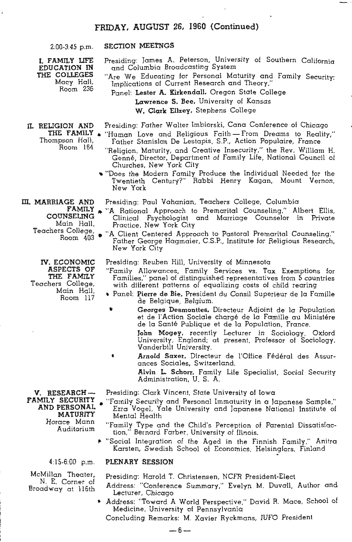### FRIDAY. AUGUST 26, 1960 (Continued)

2:00-3:45 p.m.

### SECTION MEETNGS

Presiding: James A. Peterson, University of Southern California and Columbia Broadcasting System

I. FAMILY IJFE EDUCATION IN THE COllEGES Macy Hall, Room 236

fl. RELIGION AND

Thompson Hall, Room 164 "Are We Educating for Personal Maturity and Family Security: Implications of Current Research and Theory, Panel: Lester A. Kirkendall. Oregon State College Lawrence S. Bee, University of Kansas W. Clark Ellzey. Stephens College

Presiding: Father Walter Imbiorski, Cana Conference of Chicago

- THE FAMILY . "Human Love and Religious Faith-From Dreams to Reality," Father Stanislas De Lestapis, S.P., Action Populaire, France
	- "Religion, Maturity, and Creative Insecurity," the Rev. William H. Genne, Director, Department of Family Life, National Council of Churches, New York City
	- .. "Does the Modern Family Produce the Individual Needed for the Twentieth Century?" Rabbi Henry Kagan, Mount Vernon, New York

m. MARRIAGE AND Presiding: Paul Vahanian, Teachers College, Columbia

- FAMILY . "A Rational Approach to Premarital Counseling," Albert Ellis,<br>COUNSELING Clinical Psychologist and Marriage Counselor in Private DUNSELING Clinical Psychologist and Marriage Counselor in Private<br>Main Hall, Bractice New York City Main Hall, Practice, New York City<br>Teachers College, we Client Contact Annual
	- rs College, "A Client Centered Approach to Pastoral Premarital Counseling," Father George Hagmaier, C.S.P., Institute for Religious Research, New York City

Presiding: Reuben Hill, University of Minnesota

- "Family Allowances, Family Services vs. Tax Exemptions for Families," panel of distinguished representatives from 5 countries with different patterns of equalizing costs of child rearing
- Panel: Pierre de Bie. President du Consil Superieur de la Famille de Belgique, Belgium.
	- Georges Desmonttes. Directeur Adjoint de la Population et de l'Action Sociale chargé de la Famille au Ministére de Ia Sante Publique et de la Population, France.

John Mogey, recently Lecturer in Sociology, Oxford University, England; at present, Professor of Sociology, Vanderbilt University.

• Arnold Saxer, Directeur de !'Office Federal des Assurances Sociales. Switzerland.

> Alvin L Schorr, Family Life Specialist, Social Security Administration, U. S. A.

Presiding: Clark Vincent, State University of Iowa

- "Family Security and Personal Immaturity in a Japanese Sample," Ezra Vogel, Yale University and Japanese National Institute of Mental Health
	- "Family Type and the Child's Perception of Parental Dissatisfaction," Bernard Farber, University of lllnois.
	- "Social Integration of the Aged in the Finnish Family," Anitra Karsten, Swedish School of Economics, Helsingfors, Finland

#### $4:15-6:00$  p.m.

V. RESEARCH-FAMILY SECURITY AND PERSONAL MATURITY Horace Mann Auditorium

McMillan Theater, N. E. Corner of Broadway at ll6th

### PLENARY SESSION

Presiding: Harold T. Christensen, NCFR President-Elect

- Address: "Conference Summary," Evelyn M. Duvall, Author and Lecturer, Chicago
- Address: "Toward A World Perspective," David R. Mace, School of Medicine, University of Pennsylvania

Concluding Remarks: M. Xavier Ryckmans, !UFO President

rv. ECONOMIC

ASPECTS OF THE FAMILY Teachers College, Main Hall, Room 117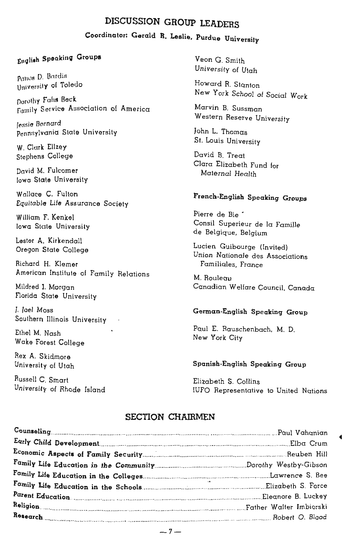# DISCUSSION GROUP LEADERS

# Coordinator: Gerald R. Leslie, Purdue University

# Enqll•h Spookinq Groups

Ponos D. Bardis University of Toledo

Dorothy Fahs Beck Family Service Association of America

lessie Bornard Penn:ylvania State University

W. Clark Ellzey Stephens College

David M. fulcomer Iowa State University

Wallace C. Fulton Equitable Life Assurance Society

William F. Kenkel Iowa State University

Lester A. Kirkendall Oregon State College

Richard H. Klemer American Institute of Family Relations

Mildred I. Morgan Florida State University

J. Joel Moss Southern Illinois University

Ethel M. Nash Wake Forest College

Rex A. Skidmore University of Utah

Russell C. Smart University of Rhode Island

Veon G. Smith University of Utah

Howard R. Stanton New York School of Social Work

Marvin B. Sussman Western Reserve University

John L. Thomas St. Louis University

David B. Treat Clara Elizabeth Fund for Maternal Health

# French-English Speaking Groups

Pierre de Bie<sup>\*</sup> Consil Superieur de Ia Famille de Belgique, Belgium

Lucien Guibourge (Invited) Union Nationale des Associations Familiales, France

M. Rouleau Canadian Welfare Council. Canada

### German-English Speaking Group

Paul E. Rauschenbach, M. D. New York City

#### Spanish-English Speaking Group

Elizabeth S. Collins IUFO Representative to United Nations

## SECTION CHAIRMEN

| Counseling Discovery Counseling Discovery Counseling Discovery Counseling Discovery Discovery Discovery Discovery Discovery Discovery Discovery Discovery Discovery Discovery Discovery Discovery Discovery Discovery Discover |  |
|--------------------------------------------------------------------------------------------------------------------------------------------------------------------------------------------------------------------------------|--|
|                                                                                                                                                                                                                                |  |
|                                                                                                                                                                                                                                |  |
|                                                                                                                                                                                                                                |  |
|                                                                                                                                                                                                                                |  |
|                                                                                                                                                                                                                                |  |
|                                                                                                                                                                                                                                |  |
|                                                                                                                                                                                                                                |  |
|                                                                                                                                                                                                                                |  |
|                                                                                                                                                                                                                                |  |

 $-7-$